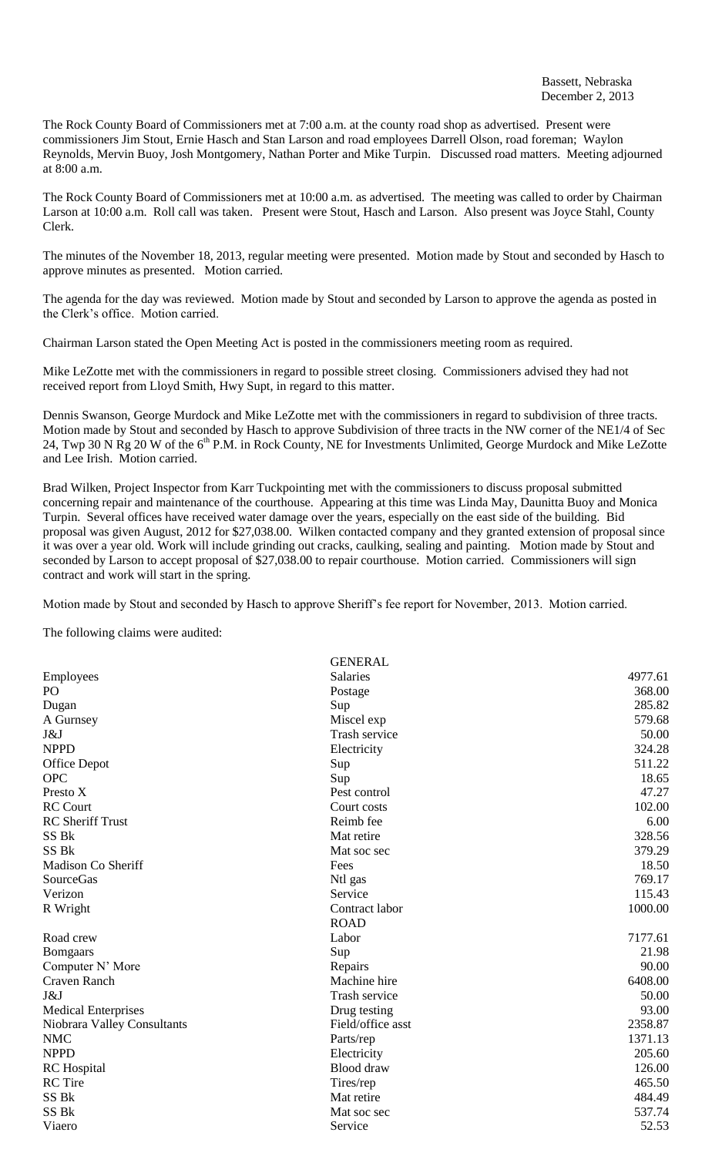The Rock County Board of Commissioners met at 7:00 a.m. at the county road shop as advertised. Present were commissioners Jim Stout, Ernie Hasch and Stan Larson and road employees Darrell Olson, road foreman; Waylon Reynolds, Mervin Buoy, Josh Montgomery, Nathan Porter and Mike Turpin. Discussed road matters. Meeting adjourned at 8:00 a.m.

The Rock County Board of Commissioners met at 10:00 a.m. as advertised. The meeting was called to order by Chairman Larson at 10:00 a.m. Roll call was taken. Present were Stout, Hasch and Larson. Also present was Joyce Stahl, County Clerk.

The minutes of the November 18, 2013, regular meeting were presented. Motion made by Stout and seconded by Hasch to approve minutes as presented. Motion carried.

The agenda for the day was reviewed. Motion made by Stout and seconded by Larson to approve the agenda as posted in the Clerk's office. Motion carried.

Chairman Larson stated the Open Meeting Act is posted in the commissioners meeting room as required.

Mike LeZotte met with the commissioners in regard to possible street closing. Commissioners advised they had not received report from Lloyd Smith, Hwy Supt, in regard to this matter.

Dennis Swanson, George Murdock and Mike LeZotte met with the commissioners in regard to subdivision of three tracts. Motion made by Stout and seconded by Hasch to approve Subdivision of three tracts in the NW corner of the NE1/4 of Sec 24, Twp 30 N Rg 20 W of the 6<sup>th</sup> P.M. in Rock County, NE for Investments Unlimited, George Murdock and Mike LeZotte and Lee Irish. Motion carried.

Brad Wilken, Project Inspector from Karr Tuckpointing met with the commissioners to discuss proposal submitted concerning repair and maintenance of the courthouse. Appearing at this time was Linda May, Daunitta Buoy and Monica Turpin. Several offices have received water damage over the years, especially on the east side of the building. Bid proposal was given August, 2012 for \$27,038.00. Wilken contacted company and they granted extension of proposal since it was over a year old. Work will include grinding out cracks, caulking, sealing and painting. Motion made by Stout and seconded by Larson to accept proposal of \$27,038.00 to repair courthouse. Motion carried. Commissioners will sign contract and work will start in the spring.

Motion made by Stout and seconded by Hasch to approve Sheriff's fee report for November, 2013. Motion carried.

The following claims were audited:

| <b>GENERAL</b>  |                   |
|-----------------|-------------------|
| <b>Salaries</b> | 4977.61           |
| Postage         | 368.00            |
| Sup             | 285.82            |
| Miscel exp      | 579.68            |
| Trash service   | 50.00             |
| Electricity     | 324.28            |
| Sup             | 511.22            |
| Sup             | 18.65             |
| Pest control    | 47.27             |
| Court costs     | 102.00            |
| Reimb fee       | 6.00              |
| Mat retire      | 328.56            |
| Mat soc sec     | 379.29            |
| Fees            | 18.50             |
| Ntl gas         | 769.17            |
| Service         | 115.43            |
| Contract labor  | 1000.00           |
| <b>ROAD</b>     |                   |
| Labor           | 7177.61           |
| Sup             | 21.98             |
| Repairs         | 90.00             |
| Machine hire    | 6408.00           |
| Trash service   | 50.00             |
| Drug testing    | 93.00             |
|                 | 2358.87           |
| Parts/rep       | 1371.13           |
| Electricity     | 205.60            |
| Blood draw      | 126.00            |
| Tires/rep       | 465.50            |
| Mat retire      | 484.49            |
| Mat soc sec     | 537.74            |
| Service         | 52.53             |
|                 | Field/office asst |